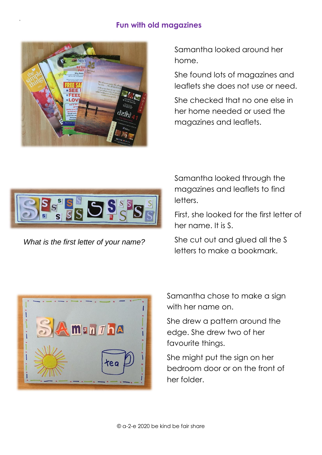## **Fun with old magazines**



9

Samantha looked around her home.

She found lots of magazines and leaflets she does not use or need.

She checked that no one else in her home needed or used the magazines and leaflets.



*What is the first letter of your name?*

Samantha looked through the magazines and leaflets to find letters.

First, she looked for the first letter of her name. It is S.

She cut out and glued all the S letters to make a bookmark.



Samantha chose to make a sign with her name on.

She drew a pattern around the edge. She drew two of her favourite things.

She might put the sign on her bedroom door or on the front of her folder.